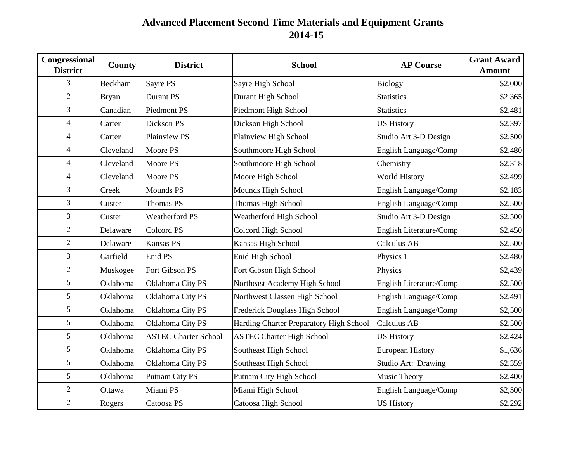## **Advanced Placement Second Time Materials and Equipment Grants 2014-15**

| Congressional<br><b>District</b> | County       | <b>District</b>             | <b>School</b>                           | <b>AP Course</b>        | <b>Grant Award</b><br><b>Amount</b> |
|----------------------------------|--------------|-----------------------------|-----------------------------------------|-------------------------|-------------------------------------|
| 3                                | Beckham      | Sayre PS                    | Sayre High School                       | <b>Biology</b>          | \$2,000                             |
| $\overline{2}$                   | <b>Bryan</b> | Durant PS                   | Durant High School                      | <b>Statistics</b>       | \$2,365                             |
| $\mathfrak{Z}$                   | Canadian     | <b>Piedmont PS</b>          | Piedmont High School                    | <b>Statistics</b>       | \$2,481                             |
| $\overline{4}$                   | Carter       | Dickson PS                  | Dickson High School                     | <b>US History</b>       | \$2,397                             |
| $\overline{4}$                   | Carter       | Plainview PS                | Plainview High School                   | Studio Art 3-D Design   | \$2,500                             |
| $\overline{4}$                   | Cleveland    | Moore PS                    | Southmoore High School                  | English Language/Comp   | \$2,480                             |
| $\overline{4}$                   | Cleveland    | Moore PS                    | Southmoore High School                  | Chemistry               | \$2,318                             |
| $\overline{4}$                   | Cleveland    | Moore PS                    | Moore High School                       | World History           | \$2,499                             |
| $\mathfrak{Z}$                   | Creek        | Mounds PS                   | Mounds High School                      | English Language/Comp   | \$2,183                             |
| 3                                | Custer       | Thomas PS                   | Thomas High School                      | English Language/Comp   | \$2,500                             |
| $\mathfrak{Z}$                   | Custer       | <b>Weatherford PS</b>       | Weatherford High School                 | Studio Art 3-D Design   | \$2,500                             |
| $\sqrt{2}$                       | Delaware     | <b>Colcord PS</b>           | Colcord High School                     | English Literature/Comp | \$2,450                             |
| $\overline{2}$                   | Delaware     | <b>Kansas PS</b>            | Kansas High School                      | Calculus AB             | \$2,500                             |
| $\mathfrak{Z}$                   | Garfield     | Enid PS                     | Enid High School                        | Physics 1               | \$2,480                             |
| $\mathfrak{2}$                   | Muskogee     | Fort Gibson PS              | Fort Gibson High School                 | Physics                 | \$2,439                             |
| 5                                | Oklahoma     | Oklahoma City PS            | Northeast Academy High School           | English Literature/Comp | \$2,500                             |
| 5                                | Oklahoma     | Oklahoma City PS            | Northwest Classen High School           | English Language/Comp   | \$2,491                             |
| $\mathfrak s$                    | Oklahoma     | Oklahoma City PS            | Frederick Douglass High School          | English Language/Comp   | \$2,500                             |
| 5                                | Oklahoma     | Oklahoma City PS            | Harding Charter Preparatory High School | <b>Calculus AB</b>      | \$2,500                             |
| $\mathfrak s$                    | Oklahoma     | <b>ASTEC Charter School</b> | <b>ASTEC Charter High School</b>        | <b>US History</b>       | \$2,424                             |
| 5                                | Oklahoma     | Oklahoma City PS            | Southeast High School                   | <b>European History</b> | \$1,636                             |
| 5                                | Oklahoma     | Oklahoma City PS            | Southeast High School                   | Studio Art: Drawing     | \$2,359                             |
| 5                                | Oklahoma     | Putnam City PS              | Putnam City High School                 | Music Theory            | \$2,400                             |
| $\mathfrak{2}$                   | Ottawa       | Miami PS                    | Miami High School                       | English Language/Comp   | \$2,500                             |
| $\overline{2}$                   | Rogers       | Catoosa PS                  | Catoosa High School                     | <b>US History</b>       | \$2,292                             |